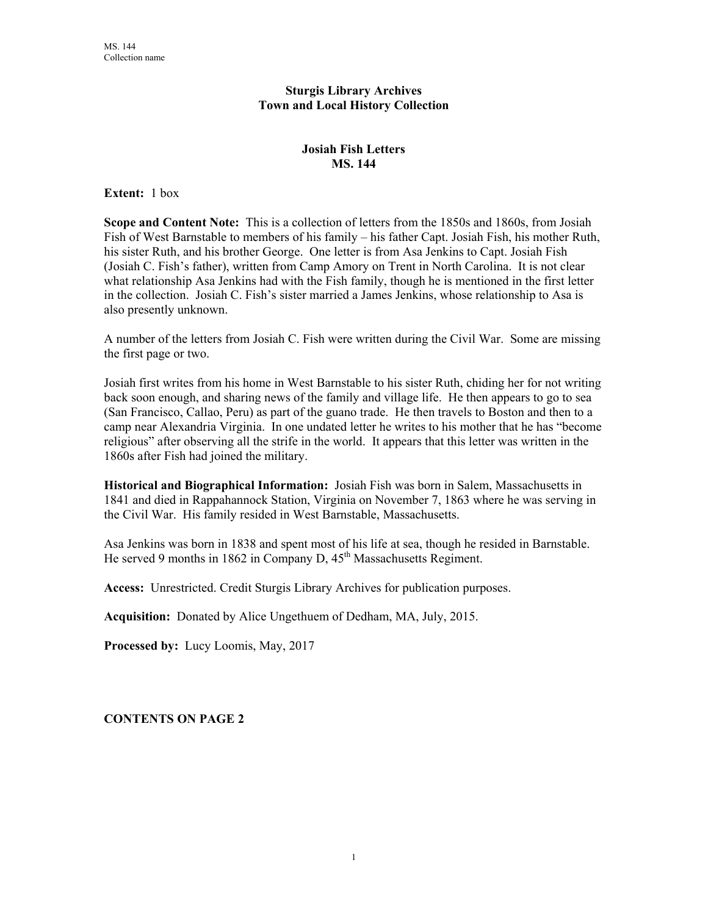## **Sturgis Library Archives Town and Local History Collection**

## **Josiah Fish Letters MS. 144**

**Extent:** 1 box

**Scope and Content Note:** This is a collection of letters from the 1850s and 1860s, from Josiah Fish of West Barnstable to members of his family – his father Capt. Josiah Fish, his mother Ruth, his sister Ruth, and his brother George. One letter is from Asa Jenkins to Capt. Josiah Fish (Josiah C. Fish's father), written from Camp Amory on Trent in North Carolina. It is not clear what relationship Asa Jenkins had with the Fish family, though he is mentioned in the first letter in the collection. Josiah C. Fish's sister married a James Jenkins, whose relationship to Asa is also presently unknown.

A number of the letters from Josiah C. Fish were written during the Civil War. Some are missing the first page or two.

Josiah first writes from his home in West Barnstable to his sister Ruth, chiding her for not writing back soon enough, and sharing news of the family and village life. He then appears to go to sea (San Francisco, Callao, Peru) as part of the guano trade. He then travels to Boston and then to a camp near Alexandria Virginia. In one undated letter he writes to his mother that he has "become religious" after observing all the strife in the world. It appears that this letter was written in the 1860s after Fish had joined the military.

**Historical and Biographical Information:** Josiah Fish was born in Salem, Massachusetts in 1841 and died in Rappahannock Station, Virginia on November 7, 1863 where he was serving in the Civil War. His family resided in West Barnstable, Massachusetts.

Asa Jenkins was born in 1838 and spent most of his life at sea, though he resided in Barnstable. He served 9 months in 1862 in Company D, 45<sup>th</sup> Massachusetts Regiment.

**Access:** Unrestricted. Credit Sturgis Library Archives for publication purposes.

**Acquisition:** Donated by Alice Ungethuem of Dedham, MA, July, 2015.

**Processed by:** Lucy Loomis, May, 2017

**CONTENTS ON PAGE 2**